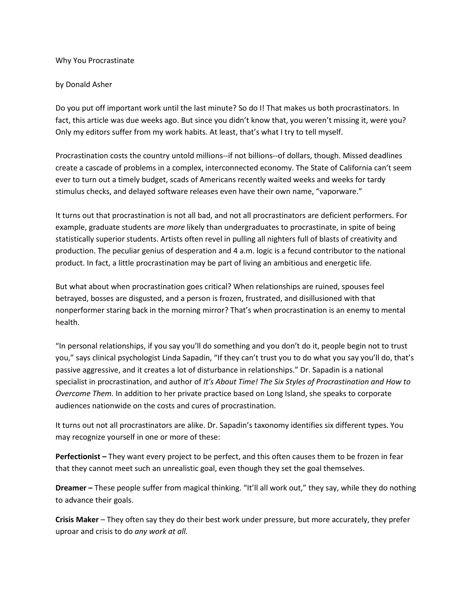## Why You Procrastinate

## by Donald Asher

Do you put off important work until the last minute? So do I! That makes us both procrastinators. In fact, this article was due weeks ago. But since you didn't know that, you weren't missing it, were you? Only my editors suffer from my work habits. At least, that's what I try to tell myself.

Procrastination costs the country untold millions--if not billions--of dollars, though. Missed deadlines create a cascade of problems in a complex, interconnected economy. The State of California can't seem ever to turn out a timely budget, scads of Americans recently waited weeks and weeks for tardy stimulus checks, and delayed software releases even have their own name, "vaporware."

It turns out that procrastination is not all bad, and not all procrastinators are deficient performers. For example, graduate students are *more* likely than undergraduates to procrastinate, in spite of being statistically superior students. Artists often revel in pulling all nighters full of blasts of creativity and production. The peculiar genius of desperation and 4 a.m. logic is a fecund contributor to the national product. In fact, a little procrastination may be part of living an ambitious and energetic life.

But what about when procrastination goes critical? When relationships are ruined, spouses feel betrayed, bosses are disgusted, and a person is frozen, frustrated, and disillusioned with that nonperformer staring back in the morning mirror? That's when procrastination is an enemy to mental health.

"In personal relationships, if you say you'll do something and you don't do it, people begin not to trust you," says clinical psychologist Linda Sapadin, "If they can't trust you to do what you say you'll do, that's passive aggressive, and it creates a lot of disturbance in relationships." Dr. Sapadin is a national specialist in procrastination, and author of *It's About Time! The Six Styles of Procrastination and How to Overcome Them.* In addition to her private practice based on Long Island, she speaks to corporate audiences nationwide on the costs and cures of procrastination.

It turns out not all procrastinators are alike. Dr. Sapadin's taxonomy identifies six different types. You may recognize yourself in one or more of these:

**Perfectionist –** They want every project to be perfect, and this often causes them to be frozen in fear that they cannot meet such an unrealistic goal, even though they set the goal themselves.

**Dreamer –** These people suffer from magical thinking. "It'll all work out," they say, while they do nothing to advance their goals.

**Crisis Maker** – They often say they do their best work under pressure, but more accurately, they prefer uproar and crisis to do *any work at all.*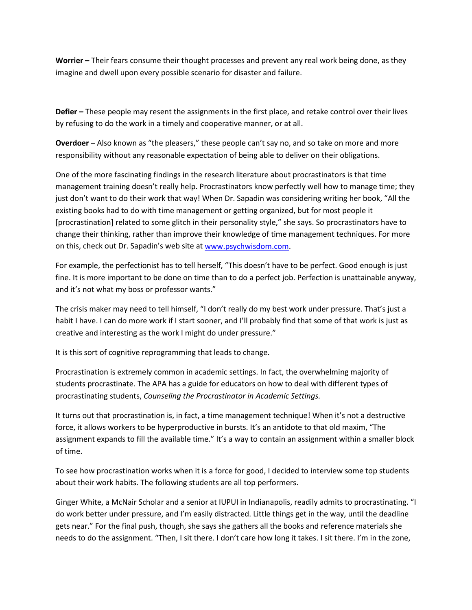**Worrier –** Their fears consume their thought processes and prevent any real work being done, as they imagine and dwell upon every possible scenario for disaster and failure.

**Defier –** These people may resent the assignments in the first place, and retake control over their lives by refusing to do the work in a timely and cooperative manner, or at all.

**Overdoer –** Also known as "the pleasers," these people can't say no, and so take on more and more responsibility without any reasonable expectation of being able to deliver on their obligations.

One of the more fascinating findings in the research literature about procrastinators is that time management training doesn't really help. Procrastinators know perfectly well how to manage time; they just don't want to do their work that way! When Dr. Sapadin was considering writing her book, "All the existing books had to do with time management or getting organized, but for most people it [procrastination] related to some glitch in their personality style," she says. So procrastinators have to change their thinking, rather than improve their knowledge of time management techniques. For more on this, check out Dr. Sapadin's web site at [www.psychwisdom.com.](http://www.psychwisdom.com/)

For example, the perfectionist has to tell herself, "This doesn't have to be perfect. Good enough is just fine. It is more important to be done on time than to do a perfect job. Perfection is unattainable anyway, and it's not what my boss or professor wants."

The crisis maker may need to tell himself, "I don't really do my best work under pressure. That's just a habit I have. I can do more work if I start sooner, and I'll probably find that some of that work is just as creative and interesting as the work I might do under pressure."

It is this sort of cognitive reprogramming that leads to change.

Procrastination is extremely common in academic settings. In fact, the overwhelming majority of students procrastinate. The APA has a guide for educators on how to deal with different types of procrastinating students, *Counseling the Procrastinator in Academic Settings.* 

It turns out that procrastination is, in fact, a time management technique! When it's not a destructive force, it allows workers to be hyperproductive in bursts. It's an antidote to that old maxim, "The assignment expands to fill the available time." It's a way to contain an assignment within a smaller block of time.

To see how procrastination works when it is a force for good, I decided to interview some top students about their work habits. The following students are all top performers.

Ginger White, a McNair Scholar and a senior at IUPUI in Indianapolis, readily admits to procrastinating. "I do work better under pressure, and I'm easily distracted. Little things get in the way, until the deadline gets near." For the final push, though, she says she gathers all the books and reference materials she needs to do the assignment. "Then, I sit there. I don't care how long it takes. I sit there. I'm in the zone,